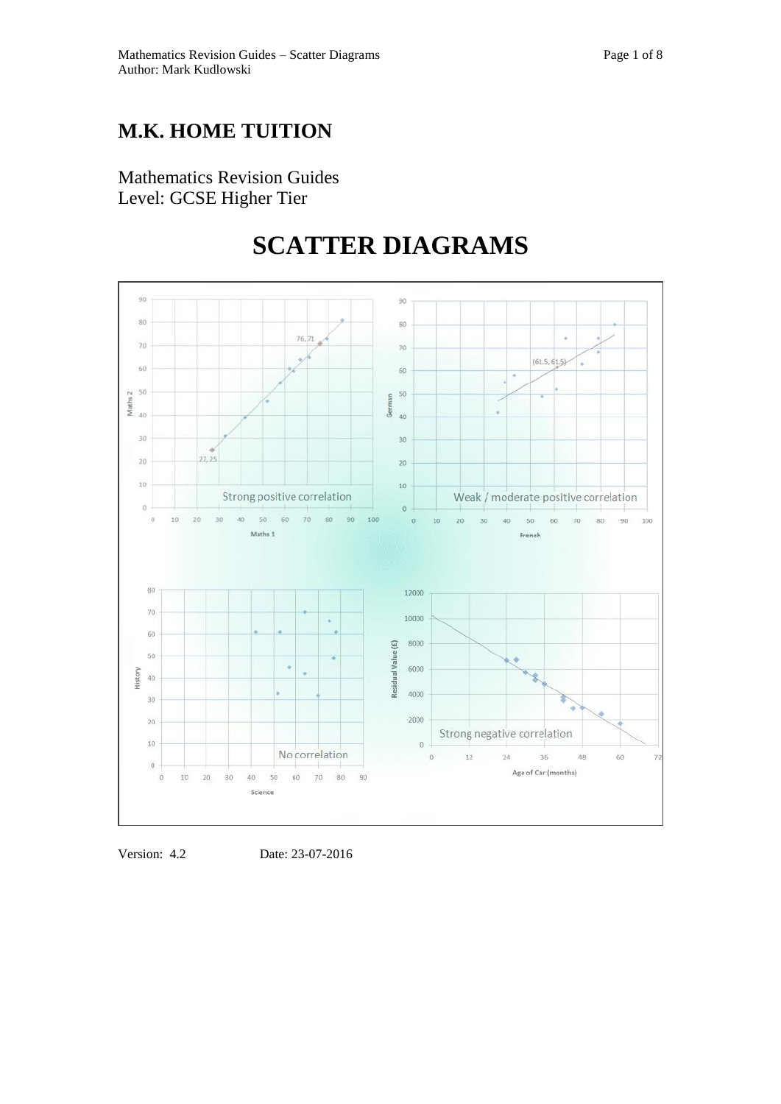# **M.K. HOME TUITION**

Mathematics Revision Guides Level: GCSE Higher Tier

# **SCATTER DIAGRAMS**



Version: 4.2 Date: 23-07-2016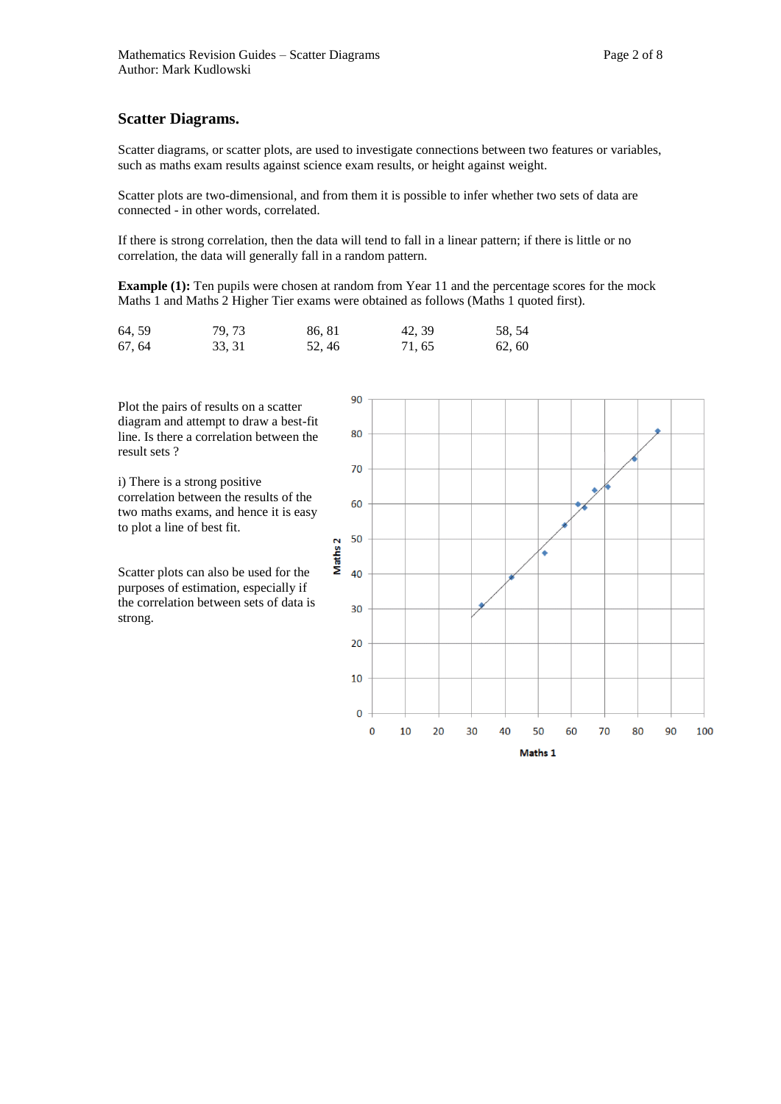#### **Scatter Diagrams.**

Scatter diagrams, or scatter plots, are used to investigate connections between two features or variables, such as maths exam results against science exam results, or height against weight.

Scatter plots are two-dimensional, and from them it is possible to infer whether two sets of data are connected - in other words, correlated.

If there is strong correlation, then the data will tend to fall in a linear pattern; if there is little or no correlation, the data will generally fall in a random pattern.

**Example (1):** Ten pupils were chosen at random from Year 11 and the percentage scores for the mock Maths 1 and Maths 2 Higher Tier exams were obtained as follows (Maths 1 quoted first).

| 64, 59 | 79, 73 | 86, 81 | 42, 39 | 58, 54 |
|--------|--------|--------|--------|--------|
| 67, 64 | 33, 31 | 52, 46 | 71, 65 | 62, 60 |

Plot the pairs of results on a scatter diagram and attempt to draw a best-fit line. Is there a correlation between the result sets ?

i) There is a strong positive correlation between the results of the two maths exams, and hence it is easy to plot a line of best fit.

Scatter plots can also be used for the purposes of estimation, especially if the correlation between sets of data is strong.

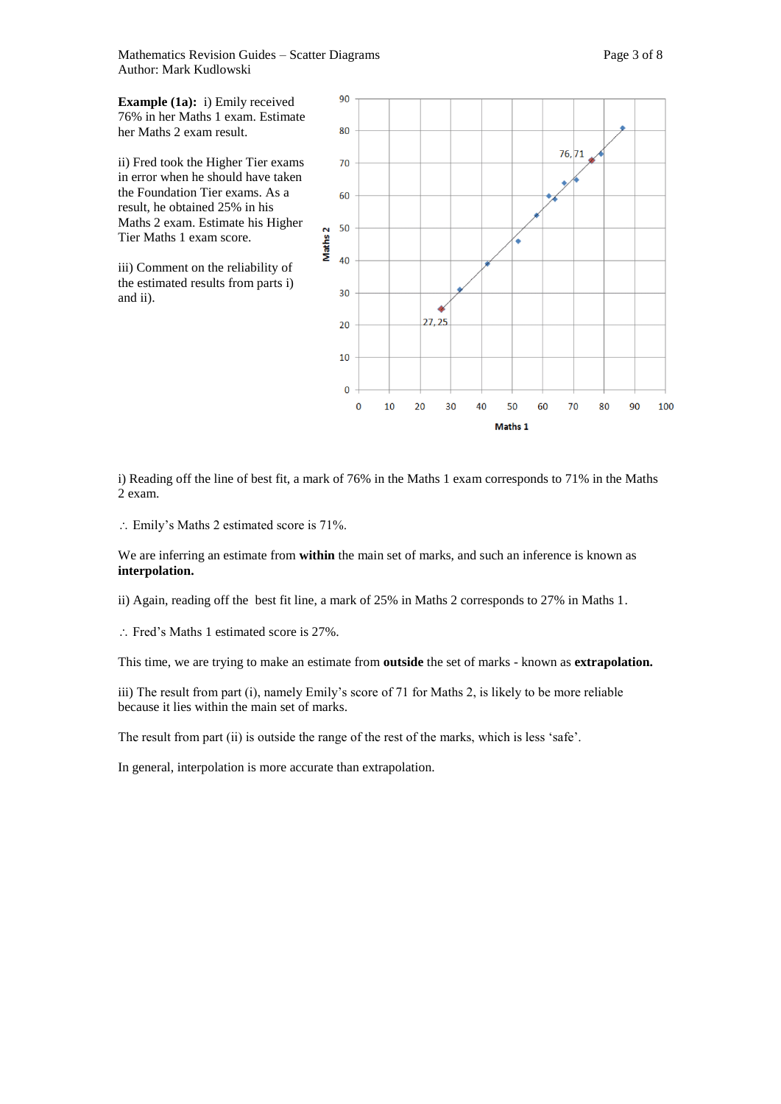Mathematics Revision Guides – Scatter Diagrams Page 3 of 8 Author: Mark Kudlowski

**Example (1a):** i) Emily received 76% in her Maths 1 exam. Estimate her Maths 2 exam result.

ii) Fred took the Higher Tier exams in error when he should have taken the Foundation Tier exams. As a result, he obtained 25% in his Maths 2 exam. Estimate his Higher Tier Maths 1 exam score.

iii) Comment on the reliability of the estimated results from parts i) and ii).



i) Reading off the line of best fit, a mark of 76% in the Maths 1 exam corresponds to 71% in the Maths 2 exam.

Emily's Maths 2 estimated score is 71%.

We are inferring an estimate from **within** the main set of marks, and such an inference is known as **interpolation.**

ii) Again, reading off the best fit line, a mark of 25% in Maths 2 corresponds to 27% in Maths 1.

Fred's Maths 1 estimated score is 27%.

This time, we are trying to make an estimate from **outside** the set of marks - known as **extrapolation.**

iii) The result from part (i), namely Emily's score of 71 for Maths 2, is likely to be more reliable because it lies within the main set of marks.

The result from part (ii) is outside the range of the rest of the marks, which is less 'safe'.

In general, interpolation is more accurate than extrapolation.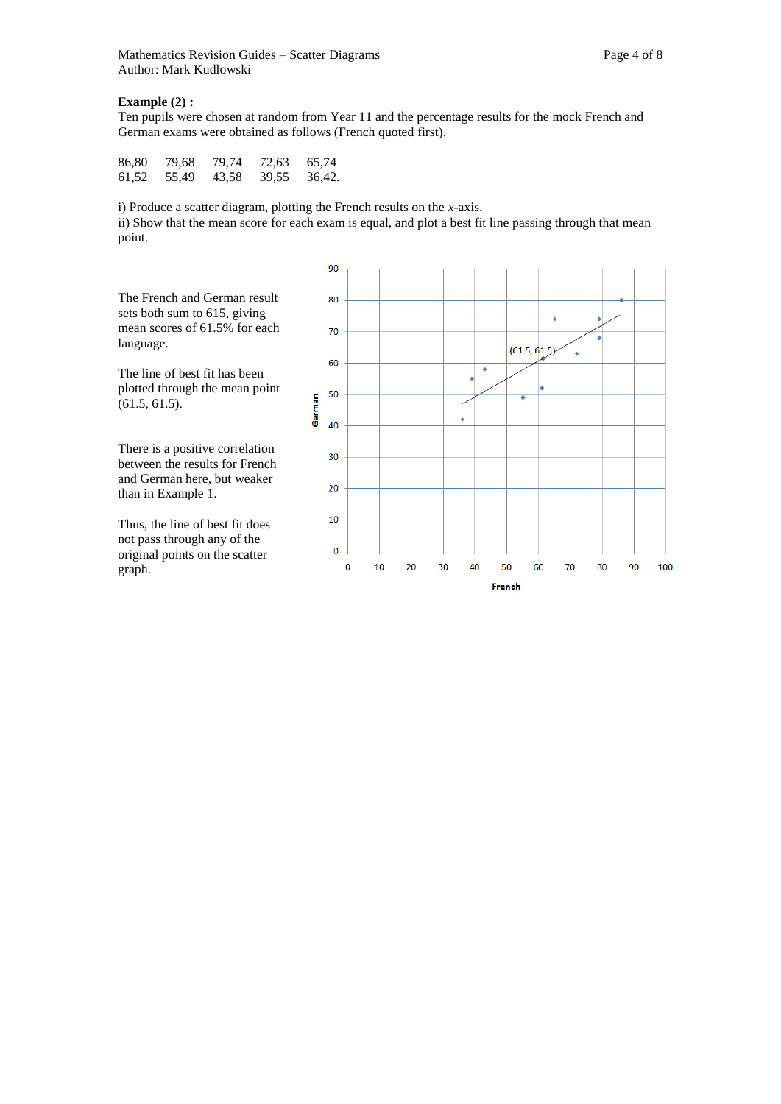## **Example (2) :**

Ten pupils were chosen at random from Year 11 and the percentage results for the mock French and German exams were obtained as follows (French quoted first).

| 86,80 | 79.68 | 79,74 | 72,63 | 65,74  |
|-------|-------|-------|-------|--------|
| 61,52 | 55,49 | 43,58 | 39,55 | 36,42. |

i) Produce a scatter diagram, plotting the French results on the *x-*axis.

ii) Show that the mean score for each exam is equal, and plot a best fit line passing through that mean point.



The line of best fit has been plotted through the mean point (61.5, 61.5).

There is a positive correlation between the results for French and German here, but weaker than in Example 1.

Thus, the line of best fit does not pass through any of the original points on the scatter graph.

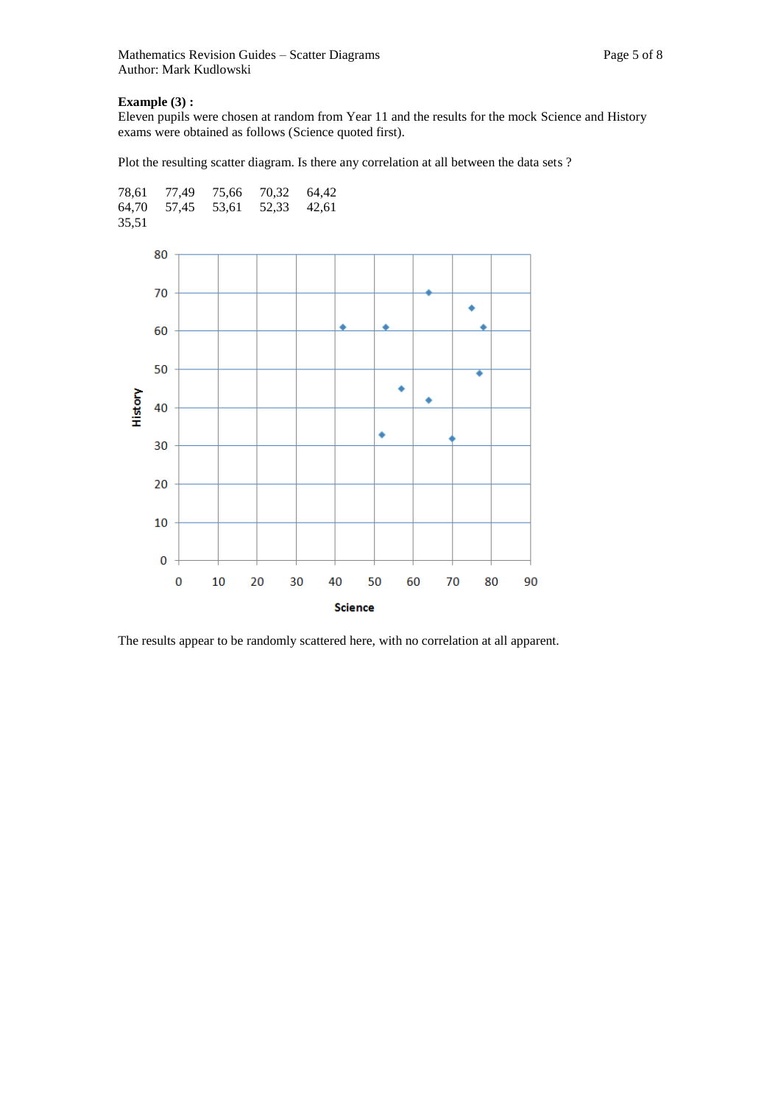## **Example (3) :**

Eleven pupils were chosen at random from Year 11 and the results for the mock Science and History exams were obtained as follows (Science quoted first).

Plot the resulting scatter diagram. Is there any correlation at all between the data sets ?



The results appear to be randomly scattered here, with no correlation at all apparent.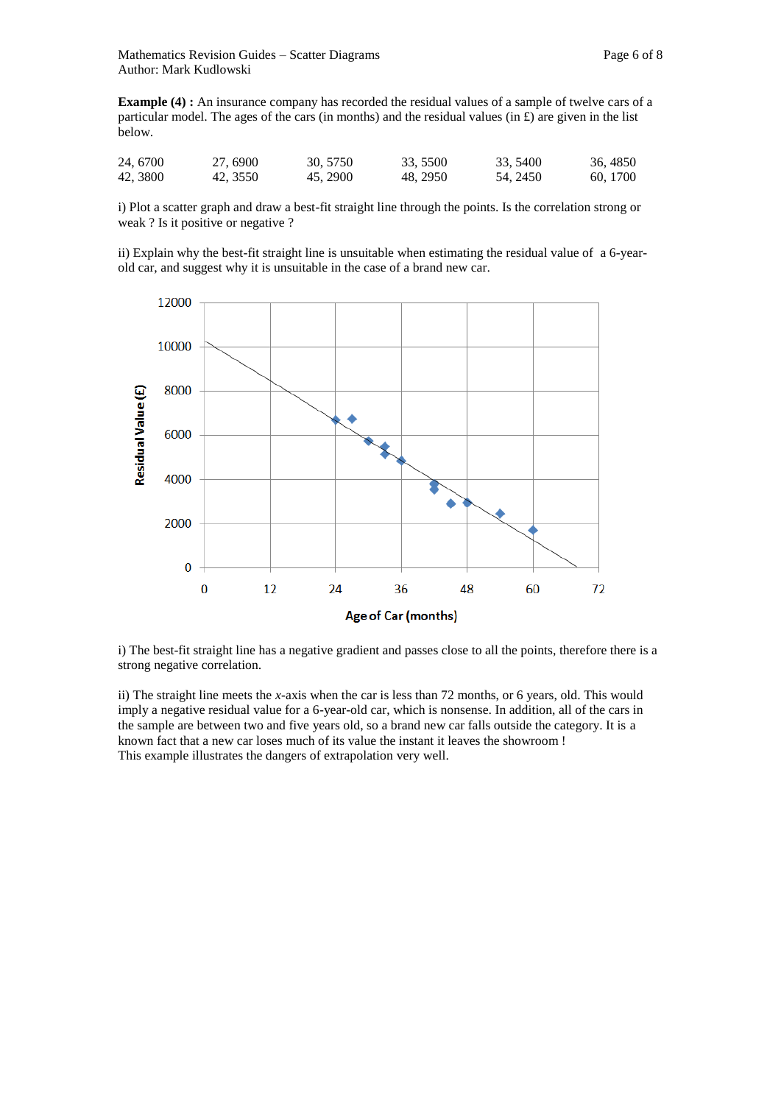**Example (4) :** An insurance company has recorded the residual values of a sample of twelve cars of a particular model. The ages of the cars (in months) and the residual values (in  $\hat{E}$ ) are given in the list below.

| 24, 6700 | 27,6900  | 30, 5750 | 33, 5500 | 33, 5400 | 36, 4850 |
|----------|----------|----------|----------|----------|----------|
| 42, 3800 | 42, 3550 | 45, 2900 | 48.2950  | 54, 2450 | 60, 1700 |

i) Plot a scatter graph and draw a best-fit straight line through the points. Is the correlation strong or weak ? Is it positive or negative ?

ii) Explain why the best-fit straight line is unsuitable when estimating the residual value of a 6-yearold car, and suggest why it is unsuitable in the case of a brand new car.



i) The best-fit straight line has a negative gradient and passes close to all the points, therefore there is a strong negative correlation.

ii) The straight line meets the *x-*axis when the car is less than 72 months, or 6 years, old. This would imply a negative residual value for a 6-year-old car, which is nonsense. In addition, all of the cars in the sample are between two and five years old, so a brand new car falls outside the category. It is a known fact that a new car loses much of its value the instant it leaves the showroom ! This example illustrates the dangers of extrapolation very well.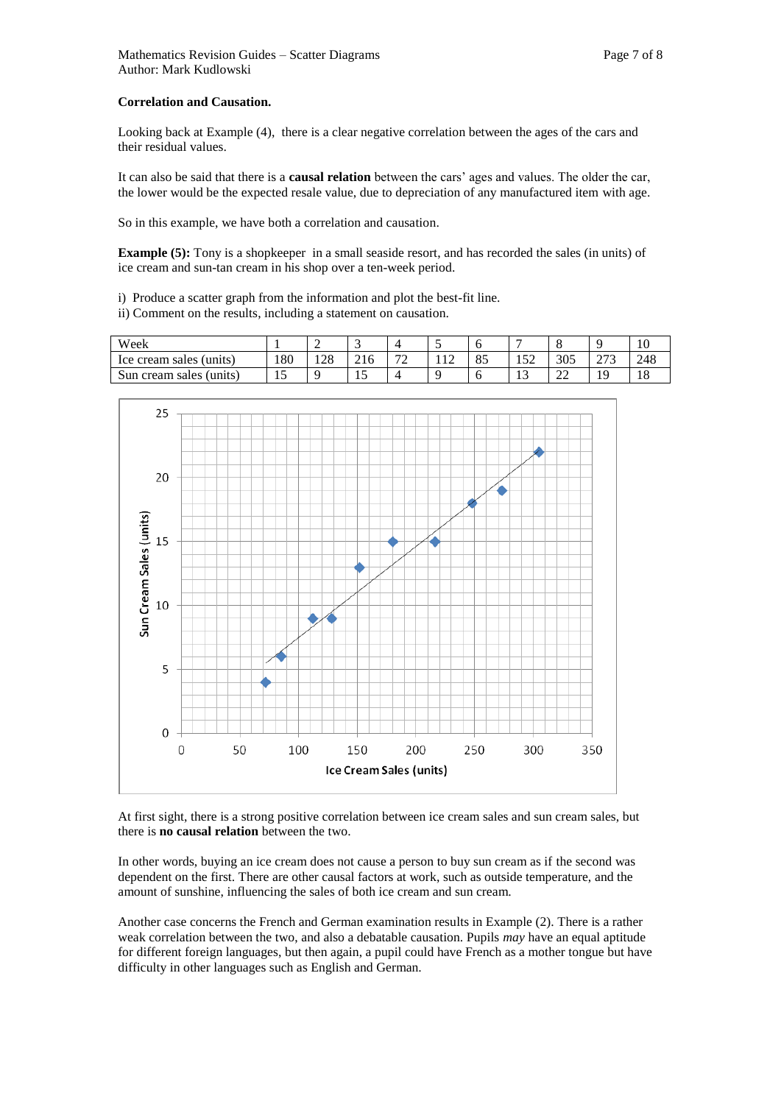Looking back at Example (4), there is a clear negative correlation between the ages of the cars and their residual values.

It can also be said that there is a **causal relation** between the cars' ages and values. The older the car, the lower would be the expected resale value, due to depreciation of any manufactured item with age.

So in this example, we have both a correlation and causation.

**Example (5):** Tony is a shopkeeper in a small seaside resort, and has recorded the sales (in units) of ice cream and sun-tan cream in his shop over a ten-week period.

i) Produce a scatter graph from the information and plot the best-fit line.

ii) Comment on the results, including a statement on causation.

| Week                       |         | ∽               | . .   |                               |                |    |           |              |                 | 1 V |
|----------------------------|---------|-----------------|-------|-------------------------------|----------------|----|-----------|--------------|-----------------|-----|
| Ice cream sales (units)    | .80     | $\Omega$<br>128 | 210   | $\overline{\phantom{a}}$<br>- | $\sim$<br>11 P | ΟJ | 52<br>194 | 305          | רים<br>$\sim$ 1 | 248 |
| Sun cream sales<br>(units) | . L . J |                 | . . J |                               |                |    | . .       | $\sim$<br>∠∠ |                 | 10  |



At first sight, there is a strong positive correlation between ice cream sales and sun cream sales, but there is **no causal relation** between the two.

In other words, buying an ice cream does not cause a person to buy sun cream as if the second was dependent on the first. There are other causal factors at work, such as outside temperature, and the amount of sunshine, influencing the sales of both ice cream and sun cream.

Another case concerns the French and German examination results in Example (2). There is a rather weak correlation between the two, and also a debatable causation. Pupils *may* have an equal aptitude for different foreign languages, but then again, a pupil could have French as a mother tongue but have difficulty in other languages such as English and German.